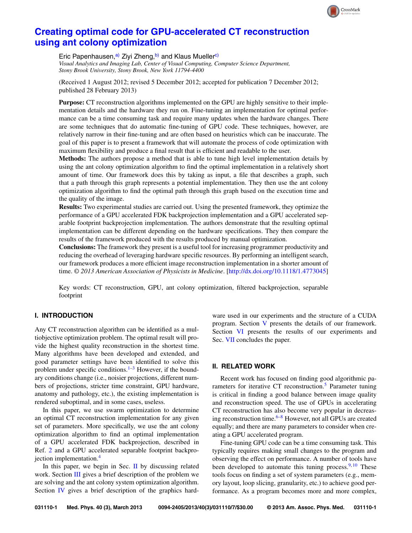

# **[Creating optimal code for GPU-accelerated CT reconstruction](http://dx.doi.org/10.1118/1.4773045) [using ant colony optimization](http://dx.doi.org/10.1118/1.4773045)**

Eric Papenhausen,<sup>a)</sup> Ziyi Zheng,<sup>[b\)](#page-5-1)</sup> and Klaus Mueller<sup>[c\)](#page-5-2)</sup> *Visual Analytics and Imaging Lab, Center of Visual Computing, Computer Science Department, Stony Brook University, Stony Brook, New York 11794-4400*

(Received 1 August 2012; revised 5 December 2012; accepted for publication 7 December 2012; published 28 February 2013)

**Purpose:** CT reconstruction algorithms implemented on the GPU are highly sensitive to their implementation details and the hardware they run on. Fine-tuning an implementation for optimal performance can be a time consuming task and require many updates when the hardware changes. There are some techniques that do automatic fine-tuning of GPU code. These techniques, however, are relatively narrow in their fine-tuning and are often based on heuristics which can be inaccurate. The goal of this paper is to present a framework that will automate the process of code optimization with maximum flexibility and produce a final result that is efficient and readable to the user.

**Methods:** The authors propose a method that is able to tune high level implementation details by using the ant colony optimization algorithm to find the optimal implementation in a relatively short amount of time. Our framework does this by taking as input, a file that describes a graph, such that a path through this graph represents a potential implementation. They then use the ant colony optimization algorithm to find the optimal path through this graph based on the execution time and the quality of the image.

**Results:** Two experimental studies are carried out. Using the presented framework, they optimize the performance of a GPU accelerated FDK backprojection implementation and a GPU accelerated separable footprint backprojection implementation. The authors demonstrate that the resulting optimal implementation can be different depending on the hardware specifications. They then compare the results of the framework produced with the results produced by manual optimization.

**Conclusions:** The framework they present is a useful tool for increasing programmer productivity and reducing the overhead of leveraging hardware specific resources. By performing an intelligent search, our framework produces a more efficient image reconstruction implementation in a shorter amount of time. *© 2013 American Association of Physicists in Medicine*. [\[http://dx.doi.org/10.1118/1.4773045\]](http://dx.doi.org/10.1118/1.4773045)

Key words: CT reconstruction, GPU, ant colony optimization, filtered backprojection, separable footprint

# **I. INTRODUCTION**

Any CT reconstruction algorithm can be identified as a multiobjective optimization problem. The optimal result will provide the highest quality reconstruction in the shortest time. Many algorithms have been developed and extended, and good parameter settings have been identified to solve this problem under specific conditions. $1-3$  However, if the boundary conditions change (i.e., noisier projections, different numbers of projections, stricter time constraint, GPU hardware, anatomy and pathology, etc.), the existing implementation is rendered suboptimal, and in some cases, useless.

In this paper, we use swarm optimization to determine an optimal CT reconstruction implementation for any given set of parameters. More specifically, we use the ant colony optimization algorithm to find an optimal implementation of a GPU accelerated FDK backprojection, described in Ref. [2](#page-5-5) and a GPU accelerated separable footprint backprojection implementation.[4](#page-5-6)

In this paper, we begin in Sec.  $\Pi$  by discussing related work. Section [III](#page-1-0) gives a brief description of the problem we are solving and the ant colony system optimization algorithm. Section [IV](#page-2-0) gives a brief description of the graphics hardware used in our experiments and the structure of a CUDA program. Section [V](#page-2-1) presents the details of our framework. Section [VI](#page-3-0) presents the results of our experiments and Sec. [VII](#page-5-7) concludes the paper.

# <span id="page-0-0"></span>**II. RELATED WORK**

Recent work has focused on finding good algorithmic pa-rameters for iterative CT reconstruction.<sup>[5](#page-5-8)</sup> Parameter tuning is critical in finding a good balance between image quality and reconstruction speed. The use of GPUs in accelerating CT reconstruction has also become very popular in decreas-ing reconstruction time.<sup>6–[8](#page-6-1)</sup> However, not all GPUs are created equally; and there are many parameters to consider when creating a GPU accelerated program.

Fine-tuning GPU code can be a time consuming task. This typically requires making small changes to the program and observing the effect on performance. A number of tools have been developed to automate this tuning process. $9,10$  $9,10$  These tools focus on finding a set of system parameters (e.g., memory layout, loop slicing, granularity, etc.) to achieve good performance. As a program becomes more and more complex,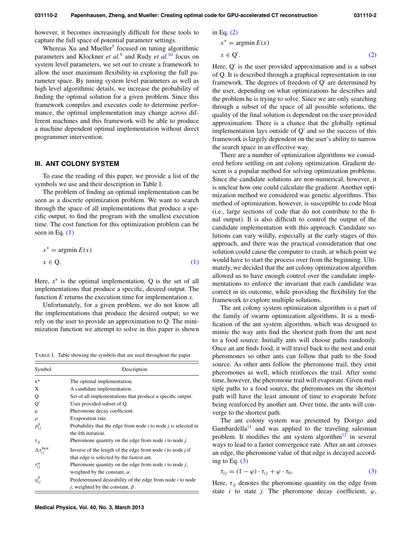however, it becomes increasingly difficult for these tools to capture the full space of potential parameter settings.

Whereas Xu and Mueller<sup>5</sup> focused on tuning algorithmic parameters and Klockner *et al.*[9](#page-6-2) and Rudy *et al.*[10](#page-6-3) focus on system level parameters, we set out to create a framework to allow the user maximum flexibility in exploring the full parameter space. By tuning system level parameters as well as high level algorithmic details, we increase the probability of finding the optimal solution for a given problem. Since this framework compiles and executes code to determine performance, the optimal implementation may change across different machines and this framework will be able to produce a machine dependent optimal implementation without direct programmer intervention.

## <span id="page-1-0"></span>**III. ANT COLONY SYSTEM**

To ease the reading of this paper, we provide a list of the symbols we use and their description in Table [I.](#page-1-1)

The problem of finding an optimal implementation can be seen as a discrete optimization problem. We want to search through the space of all implementations that produce a specific output, to find the program with the smallest execution time. The cost function for this optimization problem can be seen in Eq. [\(1\)](#page-1-2)

<span id="page-1-2"></span>
$$
x^* = \operatorname{argmin} E(x)
$$
  

$$
x \in Q.
$$
 (1)

Here,  $x^*$  is the optimal implementation. Q is the set of all implementations that produce a specific, desired output. The function *E* returns the execution time for implementation *x*.

Unfortunately, for a given problem, we do not know all the implementations that produce the desired output; so we rely on the user to provide an approximation to Q. The minimization function we attempt to solve in this paper is shown

<span id="page-1-1"></span>TABLE I. Table showing the symbols that are used throughout the paper.

| Symbol                        | Description                                                        |
|-------------------------------|--------------------------------------------------------------------|
| $x^*$                         | The optimal implementation.                                        |
| X                             | A candidate implementation.                                        |
| Q                             | Set of all implementations that produce a specific output.         |
| Q'                            | User provided subset of Q.                                         |
| $\varphi$                     | Pheromone decay coefficient.                                       |
| $\rho$                        | Evaporation rate.                                                  |
| $p_{ij}^k$                    | Probability that the edge from node $i$ to node $j$ is selected in |
|                               | the kth iteration.                                                 |
| $\tau_{ij}$                   | Pheromone quantity on the edge from node $i$ to node $j$ .         |
| $\Delta \tau_{ii}^{\rm best}$ | Inverse of the length of the edge from node $i$ to node $j$ if     |
|                               | that edge is selected by the fastest ant.                          |
| $\tau_{ii}^{\alpha}$          | Pheromone quantity on the edge from node $i$ to node $j$ ;         |
|                               | weighted by the constant, $\alpha$ .                               |
| $\eta_{ij}^{\beta}$           | Predetermined desirability of the edge from node <i>i</i> to node  |
|                               | <i>i</i> ; weighted by the constant, $\beta$ .                     |

in Eq. 
$$
(2)
$$

<span id="page-1-3"></span>
$$
x^* = \operatorname{argmin} E(x)
$$
  

$$
x \in \mathbf{Q}'.
$$
 (2)

Here,  $Q'$  is the user provided approximation and is a subset of Q. It is described through a graphical representation in our framework. The degrees of freedom of  $Q'$  are determined by the user, depending on what optimizations he describes and the problem he is trying to solve. Since we are only searching through a subset of the space of all possible solutions, the quality of the final solution is dependent on the user provided approximation. There is a chance that the globally optimal implementation lays outside of  $Q'$  and so the success of this framework is largely dependent on the user's ability to narrow the search space in an effective way.

There are a number of optimization algorithms we considered before settling on ant colony optimization. Gradient descent is a popular method for solving optimization problems. Since the candidate solutions are non-numerical, however, it is unclear how one could calculate the gradient. Another optimization method we considered was genetic algorithms. This method of optimization, however, is susceptible to code bloat (i.e., large sections of code that do not contribute to the final output). It is also difficult to control the output of the candidate implementation with this approach. Candidate solutions can vary wildly, especially at the early stages of this approach, and there was the practical consideration that one solution could cause the computer to crash, at which point we would have to start the process over from the beginning. Ultimately, we decided that the ant colony optimization algorithm allowed us to have enough control over the candidate implementations to enforce the invariant that each candidate was correct in its outcome, while providing the flexibility for the framework to explore multiple solutions.

The ant colony system optimization algorithm is a part of the family of swarm optimization algorithms. It is a modification of the ant system algorithm, which was designed to mimic the way ants find the shortest path from the ant nest to a food source. Initially ants will choose paths randomly. Once an ant finds food, it will travel back to the nest and emit pheromones so other ants can follow that path to the food source. As other ants follow the pheromone trail, they emit pheromones as well, which reinforces the trail. After some time, however, the pheromone trail will evaporate. Given multiple paths to a food source, the pheromones on the shortest path will have the least amount of time to evaporate before being reinforced by another ant. Over time, the ants will converge to the shortest path.

The ant colony system was presented by Dorigo and Gambardella<sup>11</sup> and was applied to the traveling salesman problem. It modifies the ant system algorithm $12$  in several ways to lead to a faster convergence rate. After an ant crosses an edge, the pheromone value of that edge is decayed according to Eq. [\(3\)](#page-1-4)

<span id="page-1-4"></span>
$$
\tau_{ij} = (1 - \varphi) \cdot \tau_{ij} + \varphi \cdot \tau_0. \tag{3}
$$

Here,  $\tau_{ij}$  denotes the pheromone quantity on the edge from state *i* to state *j*. The pheromone decay coefficient,  $\varphi$ ,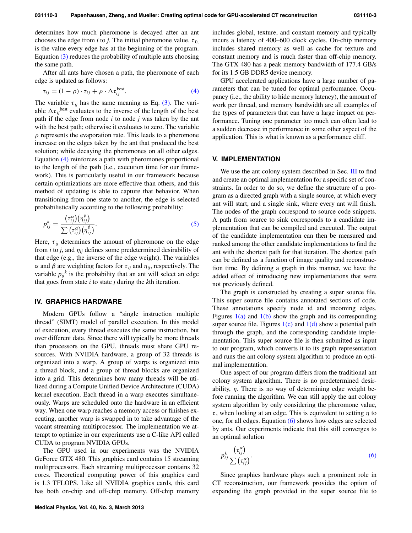determines how much pheromone is decayed after an ant chooses the edge from *i* to *j*. The initial pheromone value,  $\tau_0$ is the value every edge has at the beginning of the program. Equation [\(3\)](#page-1-4) reduces the probability of multiple ants choosing the same path.

After all ants have chosen a path, the pheromone of each edge is updated as follows:

<span id="page-2-2"></span>
$$
\tau_{ij} = (1 - \rho) \cdot \tau_{ij} + \rho \cdot \Delta \tau_{ij}^{\text{best}}.
$$
\n(4)

The variable  $\tau_{ij}$  has the same meaning as Eq. [\(3\).](#page-1-4) The variable  $\Delta \tau_{ij}^{\text{best}}$  evaluates to the inverse of the length of the best path if the edge from node *i* to node *j* was taken by the ant with the best path; otherwise it evaluates to zero. The variable  $\rho$  represents the evaporation rate. This leads to a pheromone increase on the edges taken by the ant that produced the best solution; while decaying the pheromones on all other edges. Equation [\(4\)](#page-2-2) reinforces a path with pheromones proportional to the length of the path (i.e., execution time for our framework). This is particularly useful in our framework because certain optimizations are more effective than others, and this method of updating is able to capture that behavior. When transitioning from one state to another, the edge is selected probabilistically according to the following probability:

$$
p_{ij}^k = \frac{(\tau_{ij}^\alpha)(\eta_{ij}^\beta)}{\sum (\tau_{ij}^\alpha)(\eta_{ij}^\beta)}.
$$
\n(5)

Here,  $\tau_{ij}$  determines the amount of pheromone on the edge from *i* to *j*, and *ηij* defines some predetermined desirability of that edge (e.g., the inverse of the edge weight). The variables *α* and *β* are weighting factors for  $τ_{ij}$  and  $η_{ij}$ , respectively. The variable  $p_{ij}^k$  is the probability that an ant will select an edge that goes from state *i* to state *j* during the *k*th iteration.

#### <span id="page-2-0"></span>**IV. GRAPHICS HARDWARE**

Modern GPUs follow a "single instruction multiple thread" (SIMT) model of parallel execution. In this model of execution, every thread executes the same instruction, but over different data. Since there will typically be more threads than processors on the GPU, threads must share GPU resources. With NVIDIA hardware, a group of 32 threads is organized into a warp. A group of warps is organized into a thread block, and a group of thread blocks are organized into a grid. This determines how many threads will be utilized during a Compute Unified Device Architecture (CUDA) kernel execution. Each thread in a warp executes simultaneously. Warps are scheduled onto the hardware in an efficient way. When one warp reaches a memory access or finishes executing, another warp is swapped in to take advantage of the vacant streaming multiprocessor. The implementation we attempt to optimize in our experiments use a C-like API called CUDA to program NVIDIA GPUs.

The GPU used in our experiments was the NVIDIA GeForce GTX 480. This graphics card contains 15 streaming multiprocessors. Each streaming multiprocessor contains 32 cores. Theoretical computing power of this graphics card is 1.3 TFLOPS. Like all NVIDIA graphics cards, this card has both on-chip and off-chip memory. Off-chip memory

includes global, texture, and constant memory and typically incurs a latency of 400–600 clock cycles. On-chip memory includes shared memory as well as cache for texture and constant memory and is much faster than off-chip memory. The GTX 480 has a peak memory bandwidth of 177.4 GB/s for its 1.5 GB DDR5 device memory.

GPU accelerated applications have a large number of parameters that can be tuned for optimal performance. Occupancy (i.e., the ability to hide memory latency), the amount of work per thread, and memory bandwidth are all examples of the types of parameters that can have a large impact on performance. Tuning one parameter too much can often lead to a sudden decrease in performance in some other aspect of the application. This is what is known as a performance cliff.

#### <span id="page-2-1"></span>**V. IMPLEMENTATION**

We use the ant colony system described in Sec. [III](#page-1-0) to find and create an optimal implementation for a specific set of constraints. In order to do so, we define the structure of a program as a directed graph with a single source, at which every ant will start, and a single sink, where every ant will finish. The nodes of the graph correspond to source code snippets. A path from source to sink corresponds to a candidate implementation that can be compiled and executed. The output of the candidate implementation can then be measured and ranked among the other candidate implementations to find the ant with the shortest path for that iteration. The shortest path can be defined as a function of image quality and reconstruction time. By defining a graph in this manner, we have the added effect of introducing new implementations that were not previously defined.

The graph is constructed by creating a super source file. This super source file contains annotated sections of code. These annotations specify node id and incoming edges. Figures  $1(a)$  and  $1(b)$  show the graph and its corresponding super source file. Figures  $1(c)$  and  $1(d)$  show a potential path through the graph, and the corresponding candidate implementation. This super source file is then submitted as input to our program, which converts it to its graph representation and runs the ant colony system algorithm to produce an optimal implementation.

One aspect of our program differs from the traditional ant colony system algorithm. There is no predetermined desirability, *η*. There is no way of determining edge weight before running the algorithm. We can still apply the ant colony system algorithm by only considering the pheromone value, *τ* , when looking at an edge. This is equivalent to setting *η* to one, for all edges. Equation [\(6\)](#page-2-3) shows how edges are selected by ants. Our experiments indicate that this still converges to an optimal solution

<span id="page-2-3"></span>
$$
p_{ij}^k \frac{(\tau_{ij}^\alpha)}{\sum (\tau_{ij}^\alpha)}.
$$
\n<sup>(6)</sup>

Since graphics hardware plays such a prominent role in CT reconstruction, our framework provides the option of expanding the graph provided in the super source file to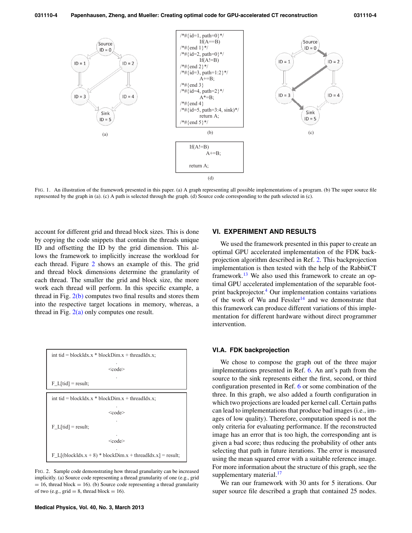<span id="page-3-1"></span>

FIG. 1. An illustration of the framework presented in this paper. (a) A graph representing all possible implementations of a program. (b) The super source file represented by the graph in (a). (c) A path is selected through the graph. (d) Source code corresponding to the path selected in (c).

account for different grid and thread block sizes. This is done by copying the code snippets that contain the threads unique ID and offsetting the ID by the grid dimension. This allows the framework to implicitly increase the workload for each thread. Figure [2](#page-3-2) shows an example of this. The grid and thread block dimensions determine the granularity of each thread. The smaller the grid and block size, the more work each thread will perform. In this specific example, a thread in Fig.  $2(b)$  computes two final results and stores them into the respective target locations in memory, whereas, a thread in Fig.  $2(a)$  only computes one result.

<span id="page-3-2"></span>

FIG. 2. Sample code demonstrating how thread granularity can be increased implicitly. (a) Source code representing a thread granularity of one (e.g., grid  $= 16$ , thread block  $= 16$ ). (b) Source code representing a thread granularity of two (e.g.,  $grid = 8$ , thread block = 16).

#### <span id="page-3-0"></span>**VI. EXPERIMENT AND RESULTS**

We used the framework presented in this paper to create an optimal GPU accelerated implementation of the FDK backprojection algorithm described in Ref. [2.](#page-5-5) This backprojection implementation is then tested with the help of the RabbitCT framework.<sup>[13](#page-6-6)</sup> We also used this framework to create an optimal GPU accelerated implementation of the separable foot-print backprojector.<sup>[4](#page-5-6)</sup> Our implementation contains variations of the work of Wu and Fessler<sup>[14](#page-6-7)</sup> and we demonstrate that this framework can produce different variations of this implementation for different hardware without direct programmer intervention.

#### **VI.A. FDK backprojection**

We chose to compose the graph out of the three major implementations presented in Ref. [6.](#page-6-0) An ant's path from the source to the sink represents either the first, second, or third configuration presented in Ref. [6](#page-6-0) or some combination of the three. In this graph, we also added a fourth configuration in which two projections are loaded per kernel call. Certain paths can lead to implementations that produce bad images (i.e., images of low quality). Therefore, computation speed is not the only criteria for evaluating performance. If the reconstructed image has an error that is too high, the corresponding ant is given a bad score; thus reducing the probability of other ants selecting that path in future iterations. The error is measured using the mean squared error with a suitable reference image. For more information about the structure of this graph, see the supplementary material. $^{17}$ 

We ran our framework with 30 ants for 5 iterations. Our super source file described a graph that contained 25 nodes.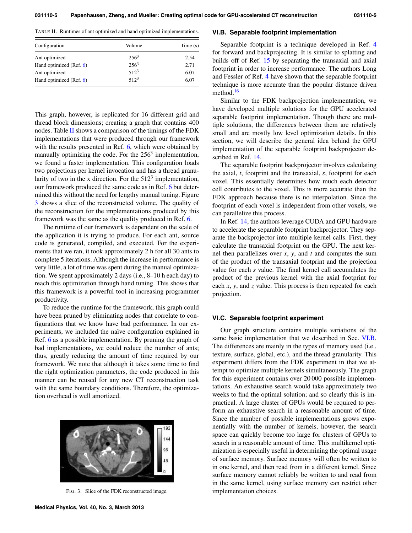<span id="page-4-0"></span>TABLE II. Runtimes of ant optimized and hand optimized implementations.

| Configuration              | Volume  | Time(s) |
|----------------------------|---------|---------|
| Ant optimized              | $256^3$ | 2.54    |
| Hand optimized (Ref. 6)    | $256^3$ | 2.71    |
| Ant optimized              | $512^3$ | 6.07    |
| Hand optimized (Ref. $6$ ) | $512^3$ | 6.07    |

This graph, however, is replicated for 16 different grid and thread block dimensions; creating a graph that contains 400 nodes. Table [II](#page-4-0) shows a comparison of the timings of the FDK implementations that were produced through our framework with the results presented in Ref. [6,](#page-6-0) which were obtained by manually optimizing the code. For the  $256<sup>3</sup>$  implementation, we found a faster implementation. This configuration loads two projections per kernel invocation and has a thread granularity of two in the x direction. For the  $512<sup>3</sup>$  implementation, our framework produced the same code as in Ref. [6](#page-6-0) but determined this without the need for lengthy manual tuning. Figure [3](#page-4-1) shows a slice of the reconstructed volume. The quality of the reconstruction for the implementations produced by this framework was the same as the quality produced in Ref. [6.](#page-6-0)

The runtime of our framework is dependent on the scale of the application it is trying to produce. For each ant, source code is generated, compiled, and executed. For the experiments that we ran, it took approximately 2 h for all 30 ants to complete 5 iterations. Although the increase in performance is very little, a lot of time was spent during the manual optimization. We spent approximately 2 days (i.e., 8–10 h each day) to reach this optimization through hand tuning. This shows that this framework is a powerful tool in increasing programmer productivity.

To reduce the runtime for the framework, this graph could have been pruned by eliminating nodes that correlate to configurations that we know have bad performance. In our experiments, we included the naïve configuration explained in Ref. [6](#page-6-0) as a possible implementation. By pruning the graph of bad implementations, we could reduce the number of ants; thus, greatly reducing the amount of time required by our framework. We note that although it takes some time to find the right optimization parameters, the code produced in this manner can be reused for any new CT reconstruction task with the same boundary conditions. Therefore, the optimization overhead is well amortized.

<span id="page-4-1"></span>

FIG. 3. Slice of the FDK reconstructed image.

### <span id="page-4-2"></span>**VI.B. Separable footprint implementation**

Separable footprint is a technique developed in Ref. [4](#page-5-6) for forward and backprojecting. It is similar to splatting and builds off of Ref. [15](#page-6-9) by separating the transaxial and axial footprint in order to increase performance. The authors Long and Fessler of Ref. [4](#page-5-6) have shown that the separable footprint technique is more accurate than the popular distance driven method. $16$ 

Similar to the FDK backprojection implementation, we have developed multiple solutions for the GPU accelerated separable footprint implementation. Though there are multiple solutions, the differences between them are relatively small and are mostly low level optimization details. In this section, we will describe the general idea behind the GPU implementation of the separable footprint backprojector described in Ref. [14.](#page-6-7)

The separable footprint backprojector involves calculating the axial, *t*, footprint and the transaxial, *s*, footprint for each voxel. This essentially determines how much each detector cell contributes to the voxel. This is more accurate than the FDK approach because there is no interpolation. Since the footprint of each voxel is independent from other voxels, we can parallelize this process.

In Ref. [14,](#page-6-7) the authors leverage CUDA and GPU hardware to accelerate the separable footprint backprojector. They separate the backprojector into multiple kernel calls. First, they calculate the transaxial footprint on the GPU. The next kernel then parallelizes over *x*, *y*, and *t* and computes the sum of the product of the transaxial footprint and the projection value for each *s* value. The final kernel call accumulates the product of the previous kernel with the axial footprint for each *x*, *y*, and *z* value. This process is then repeated for each projection.

#### **VI.C. Separable footprint experiment**

Our graph structure contains multiple variations of the same basic implementation that we described in Sec. [VI.B.](#page-4-2) The differences are mainly in the types of memory used (i.e., texture, surface, global, etc.), and the thread granularity. This experiment differs from the FDK experiment in that we attempt to optimize multiple kernels simultaneously. The graph for this experiment contains over 20 000 possible implementations. An exhaustive search would take approximately two weeks to find the optimal solution; and so clearly this is impractical. A large cluster of GPUs would be required to perform an exhaustive search in a reasonable amount of time. Since the number of possible implementations grows exponentially with the number of kernels, however, the search space can quickly become too large for clusters of GPUs to search in a reasonable amount of time. This multikernel optimization is especially useful in determining the optimal usage of surface memory. Surface memory will often be written to in one kernel, and then read from in a different kernel. Since surface memory cannot reliably be written to and read from in the same kernel, using surface memory can restrict other implementation choices.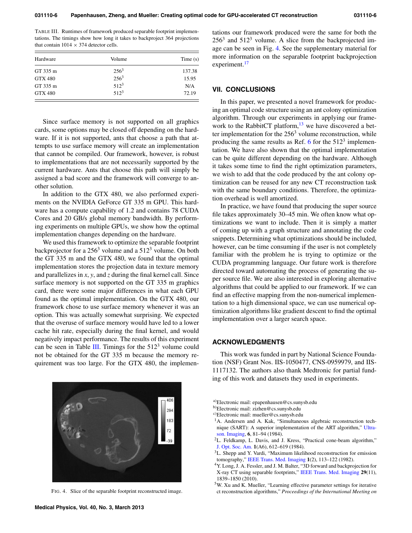<span id="page-5-9"></span>TABLE III. Runtimes of framework produced separable footprint implementations. The timings show how long it takes to backproject 364 projections that contain  $1014 \times 374$  detector cells.

| Hardware       | Volume  | Time(s) |
|----------------|---------|---------|
| GT 335 m       | $256^3$ | 137.38  |
| <b>GTX 480</b> | $256^3$ | 15.95   |
| GT 335 m       | $512^3$ | N/A     |
| <b>GTX 480</b> | $512^3$ | 72.19   |

Since surface memory is not supported on all graphics cards, some options may be closed off depending on the hardware. If it is not supported, ants that choose a path that attempts to use surface memory will create an implementation that cannot be compiled. Our framework, however, is robust to implementations that are not necessarily supported by the current hardware. Ants that choose this path will simply be assigned a bad score and the framework will converge to another solution.

In addition to the GTX 480, we also performed experiments on the NVIDIA GeForce GT 335 m GPU. This hardware has a compute capability of 1.2 and contains 78 CUDA Cores and 20 GB/s global memory bandwidth. By performing experiments on multiple GPUs, we show how the optimal implementation changes depending on the hardware.

We used this framework to optimize the separable footprint backprojector for a  $256<sup>3</sup>$  volume and a  $512<sup>3</sup>$  volume. On both the GT 335 m and the GTX 480, we found that the optimal implementation stores the projection data in texture memory and parallelizes in *x*, *y*, and *z* during the final kernel call. Since surface memory is not supported on the GT 335 m graphics card, there were some major differences in what each GPU found as the optimal implementation. On the GTX 480, our framework chose to use surface memory whenever it was an option. This was actually somewhat surprising. We expected that the overuse of surface memory would have led to a lower cache hit rate, especially during the final kernel, and would negatively impact performance. The results of this experiment can be seen in Table [III.](#page-5-9) Timings for the  $512<sup>3</sup>$  volume could not be obtained for the GT 335 m because the memory requirement was too large. For the GTX 480, the implemen-

<span id="page-5-10"></span>

FIG. 4. Slice of the separable footprint reconstructed image.

tations our framework produced were the same for both the  $256<sup>3</sup>$  and  $512<sup>3</sup>$  volume. A slice from the backprojected image can be seen in Fig. [4.](#page-5-10) See the supplementary material for more information on the separable footprint backprojection experiment.<sup>[17](#page-6-8)</sup>

# <span id="page-5-7"></span>**VII. CONCLUSIONS**

In this paper, we presented a novel framework for producing an optimal code structure using an ant colony optimization algorithm. Through our experiments in applying our framework to the RabbitCT platform, $^{13}$  we have discovered a better implementation for the  $256<sup>3</sup>$  volume reconstruction, while producing the same results as Ref. [6](#page-6-0) for the  $512<sup>3</sup>$  implementation. We have also shown that the optimal implementation can be quite different depending on the hardware. Although it takes some time to find the right optimization parameters, we wish to add that the code produced by the ant colony optimization can be reused for any new CT reconstruction task with the same boundary conditions. Therefore, the optimization overhead is well amortized.

In practice, we have found that producing the super source file takes approximately 30–45 min. We often know what optimizations we want to include. Then it is simply a matter of coming up with a graph structure and annotating the code snippets. Determining what optimizations should be included, however, can be time consuming if the user is not completely familiar with the problem he is trying to optimize or the CUDA programming language. Our future work is therefore directed toward automating the process of generating the super source file. We are also interested in exploring alternative algorithms that could be applied to our framework. If we can find an effective mapping from the non-numerical implementation to a high dimensional space, we can use numerical optimization algorithms like gradient descent to find the optimal implementation over a larger search space.

## **ACKNOWLEDGMENTS**

This work was funded in part by National Science Foundation (NSF) Grant Nos. IIS-1050477, CNS-0959979, and IIS-1117132. The authors also thank Medtronic for partial funding of this work and datasets they used in experiments.

- a)Electronic mail: epapenhausen@cs.sunysb.edu
- <span id="page-5-0"></span>b)Electronic mail: zizhen@cs.sunysb.edu
- <span id="page-5-3"></span><span id="page-5-1"></span>c)Electronic mail: mueller@cs.sunysb.edu
- <span id="page-5-2"></span><sup>1</sup>A. Andersen and A. Kak, "Simultaneous algebraic reconstruction technique (SART): A superior implementation of the ART algorithm," [Ultra](http://dx.doi.org/10.1016/0161-7346(84)90008-7)[son. Imaging,](http://dx.doi.org/10.1016/0161-7346(84)90008-7) **6**, 81–94 (1984).
- <span id="page-5-5"></span><sup>2</sup>L. Feldkamp, L. Davis, and J. Kress, "Practical cone-beam algorithm," [J. Opt. Soc. Am.](http://dx.doi.org/10.1364/JOSAA.1.000612) **1**(A6), 612–619 (1984).
- <span id="page-5-4"></span><sup>3</sup>L. Shepp and Y. Vardi, "Maximum likelihood reconstruction for emission tomography," [IEEE Trans. Med. Imaging](http://dx.doi.org/10.1109/TMI.1982.4307558) **1**(2), 113–122 (1982).
- <span id="page-5-6"></span>4Y. Long, J. A. Fessler, and J. M. Balter, "3D forward and backprojection for X-ray CT using separable footprints," [IEEE Trans. Med. Imaging](http://dx.doi.org/10.1109/TMI.2010.2050898) **29**(11), 1839–1850 (2010).
- <span id="page-5-8"></span>5W. Xu and K. Mueller, "Learning effective parameter settings for iterative ct reconstruction algorithms," *Proceedings of the International Meeting on*